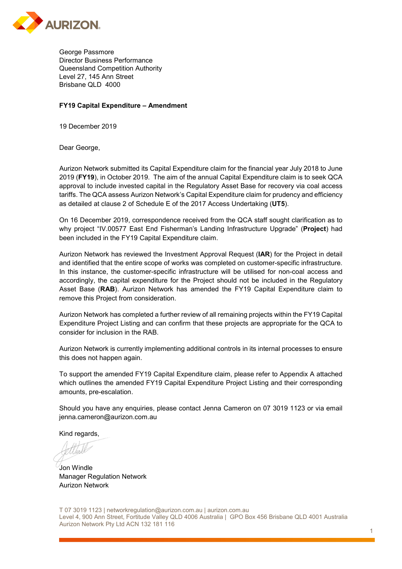

George Passmore Director Business Performance Queensland Competition Authority Level 27, 145 Ann Street Brisbane QLD 4000

## **FY19 Capital Expenditure – Amendment**

19 December 2019

Dear George,

Aurizon Network submitted its Capital Expenditure claim for the financial year July 2018 to June 2019 (**FY19**), in October 2019. The aim of the annual Capital Expenditure claim is to seek QCA approval to include invested capital in the Regulatory Asset Base for recovery via coal access tariffs. The QCA assess Aurizon Network's Capital Expenditure claim for prudency and efficiency as detailed at clause 2 of Schedule E of the 2017 Access Undertaking (**UT5**).

On 16 December 2019, correspondence received from the QCA staff sought clarification as to why project "IV.00577 East End Fisherman's Landing Infrastructure Upgrade" (**Project**) had been included in the FY19 Capital Expenditure claim.

Aurizon Network has reviewed the Investment Approval Request (**IAR**) for the Project in detail and identified that the entire scope of works was completed on customer-specific infrastructure. In this instance, the customer-specific infrastructure will be utilised for non-coal access and accordingly, the capital expenditure for the Project should not be included in the Regulatory Asset Base (**RAB**). Aurizon Network has amended the FY19 Capital Expenditure claim to remove this Project from consideration.

Aurizon Network has completed a further review of all remaining projects within the FY19 Capital Expenditure Project Listing and can confirm that these projects are appropriate for the QCA to consider for inclusion in the RAB.

Aurizon Network is currently implementing additional controls in its internal processes to ensure this does not happen again.

To support the amended FY19 Capital Expenditure claim, please refer to Appendix A attached which outlines the amended FY19 Capital Expenditure Project Listing and their corresponding amounts, pre-escalation.

Should you have any enquiries, please contact Jenna Cameron on 07 3019 1123 or via email jenna.cameron@aurizon.com.au

Kind regards,

Jon Windle Manager Regulation Network Aurizon Network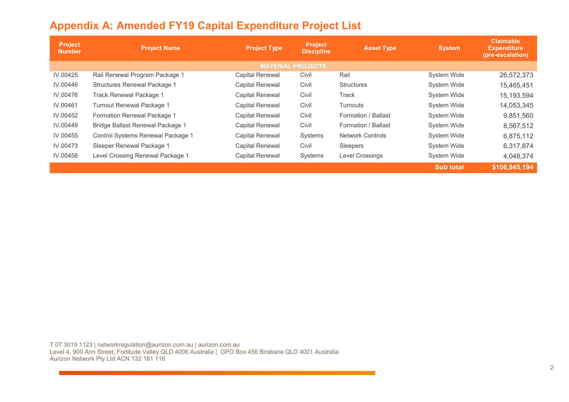|  |  |  |  |  | <b>Appendix A: Amended FY19 Capital Expenditure Project List</b> |
|--|--|--|--|--|------------------------------------------------------------------|
|--|--|--|--|--|------------------------------------------------------------------|

| <b>Project</b><br><b>Number</b> | <b>Project Name</b>               | <b>Project Type</b>    | <b>Project</b><br><b>Discipline</b> | <b>Asset Type</b>       | <b>System</b>      | <b>Claimable</b><br><b>Expenditure</b><br>(pre-escalation) |  |  |
|---------------------------------|-----------------------------------|------------------------|-------------------------------------|-------------------------|--------------------|------------------------------------------------------------|--|--|
| <b>MATERIAL PROJECTS</b>        |                                   |                        |                                     |                         |                    |                                                            |  |  |
| IV.00425                        | Rail Renewal Program Package 1    | <b>Capital Renewal</b> | Civil                               | Rail                    | <b>System Wide</b> | 26,572,373                                                 |  |  |
| IV.00446                        | Structures Renewal Package 1      | <b>Capital Renewal</b> | Civil                               | <b>Structures</b>       | <b>System Wide</b> | 15,465,451                                                 |  |  |
| IV.00476                        | Track Renewal Package 1           | <b>Capital Renewal</b> | Civil                               | Track                   | <b>System Wide</b> | 15,193,594                                                 |  |  |
| IV.00461                        | Turnout Renewal Package 1         | <b>Capital Renewal</b> | Civil                               | Turnouts                | <b>System Wide</b> | 14,053,345                                                 |  |  |
| IV.00452                        | Formation Renewal Package 1       | Capital Renewal        | Civil                               | Formation / Ballast     | System Wide        | 9,851,560                                                  |  |  |
| IV.00449                        | Bridge Ballast Renewal Package 1  | <b>Capital Renewal</b> | Civil                               | Formation / Ballast     | <b>System Wide</b> | 8,567,512                                                  |  |  |
| IV.00455                        | Control Systems Renewal Package 1 | <b>Capital Renewal</b> | Systems                             | <b>Network Controls</b> | <b>System Wide</b> | 6,875,112                                                  |  |  |
| IV.00473                        | Sleeper Renewal Package 1         | <b>Capital Renewal</b> | Civil                               | Sleepers                | <b>System Wide</b> | 6,317,874                                                  |  |  |
| IV.00458                        | Level Crossing Renewal Package 1  | <b>Capital Renewal</b> | Systems                             | Level Crossings         | <b>System Wide</b> | 4,048,374                                                  |  |  |
|                                 |                                   |                        |                                     |                         | <b>Sub total</b>   | \$106,945,194                                              |  |  |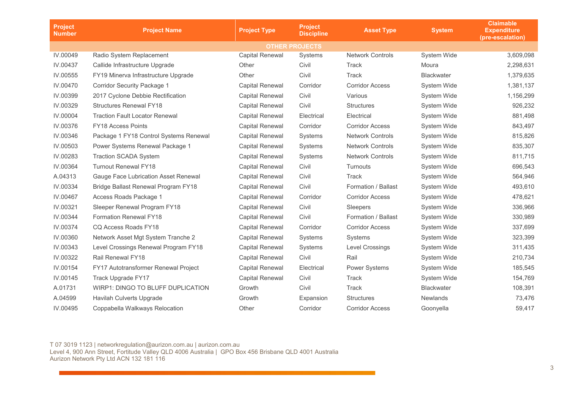| <b>Project</b><br><b>Number</b> | <b>Project Name</b>                    | <b>Project Type</b>    | <b>Project</b><br><b>Discipline</b> | <b>Asset Type</b>       | <b>System</b>      | <b>Claimable</b><br><b>Expenditure</b><br>(pre-escalation) |  |
|---------------------------------|----------------------------------------|------------------------|-------------------------------------|-------------------------|--------------------|------------------------------------------------------------|--|
| <b>OTHER PROJECTS</b>           |                                        |                        |                                     |                         |                    |                                                            |  |
| IV.00049                        | Radio System Replacement               | <b>Capital Renewal</b> | Systems                             | <b>Network Controls</b> | System Wide        | 3,609,098                                                  |  |
| IV.00437                        | Callide Infrastructure Upgrade         | Other                  | Civil                               | Track                   | Moura              | 2,298,631                                                  |  |
| IV.00555                        | FY19 Minerva Infrastructure Upgrade    | Other                  | Civil                               | Track                   | <b>Blackwater</b>  | 1,379,635                                                  |  |
| IV.00470                        | <b>Corridor Security Package 1</b>     | <b>Capital Renewal</b> | Corridor                            | <b>Corridor Access</b>  | <b>System Wide</b> | 1,381,137                                                  |  |
| IV.00399                        | 2017 Cyclone Debbie Rectification      | <b>Capital Renewal</b> | Civil                               | Various                 | System Wide        | 1,156,299                                                  |  |
| IV.00329                        | <b>Structures Renewal FY18</b>         | <b>Capital Renewal</b> | Civil                               | <b>Structures</b>       | System Wide        | 926,232                                                    |  |
| IV.00004                        | <b>Traction Fault Locator Renewal</b>  | <b>Capital Renewal</b> | Electrical                          | Electrical              | System Wide        | 881,498                                                    |  |
| IV.00376                        | FY18 Access Points                     | <b>Capital Renewal</b> | Corridor                            | <b>Corridor Access</b>  | <b>System Wide</b> | 843,497                                                    |  |
| IV.00346                        | Package 1 FY18 Control Systems Renewal | <b>Capital Renewal</b> | Systems                             | <b>Network Controls</b> | System Wide        | 815,826                                                    |  |
| IV.00503                        | Power Systems Renewal Package 1        | <b>Capital Renewal</b> | Systems                             | <b>Network Controls</b> | System Wide        | 835,307                                                    |  |
| IV.00283                        | <b>Traction SCADA System</b>           | <b>Capital Renewal</b> | Systems                             | <b>Network Controls</b> | System Wide        | 811,715                                                    |  |
| IV.00364                        | <b>Turnout Renewal FY18</b>            | <b>Capital Renewal</b> | Civil                               | Turnouts                | <b>System Wide</b> | 696,543                                                    |  |
| A.04313                         | Gauge Face Lubrication Asset Renewal   | <b>Capital Renewal</b> | Civil                               | Track                   | <b>System Wide</b> | 564,946                                                    |  |
| IV.00334                        | Bridge Ballast Renewal Program FY18    | <b>Capital Renewal</b> | Civil                               | Formation / Ballast     | System Wide        | 493,610                                                    |  |
| IV.00467                        | Access Roads Package 1                 | Capital Renewal        | Corridor                            | <b>Corridor Access</b>  | System Wide        | 478,621                                                    |  |
| IV.00321                        | Sleeper Renewal Program FY18           | <b>Capital Renewal</b> | Civil                               | Sleepers                | System Wide        | 336,966                                                    |  |
| IV.00344                        | <b>Formation Renewal FY18</b>          | <b>Capital Renewal</b> | Civil                               | Formation / Ballast     | <b>System Wide</b> | 330,989                                                    |  |
| IV.00374                        | CQ Access Roads FY18                   | <b>Capital Renewal</b> | Corridor                            | <b>Corridor Access</b>  | System Wide        | 337,699                                                    |  |
| IV.00360                        | Network Asset Mgt System Tranche 2     | <b>Capital Renewal</b> | Systems                             | Systems                 | System Wide        | 323,399                                                    |  |
| IV.00343                        | Level Crossings Renewal Program FY18   | <b>Capital Renewal</b> | Systems                             | Level Crossings         | System Wide        | 311,435                                                    |  |
| IV.00322                        | Rail Renewal FY18                      | <b>Capital Renewal</b> | Civil                               | Rail                    | System Wide        | 210,734                                                    |  |
| IV.00154                        | FY17 Autotransformer Renewal Project   | <b>Capital Renewal</b> | Electrical                          | Power Systems           | System Wide        | 185,545                                                    |  |
| IV.00145                        | Track Upgrade FY17                     | <b>Capital Renewal</b> | Civil                               | Track                   | <b>System Wide</b> | 154,769                                                    |  |
| A.01731                         | WIRP1: DINGO TO BLUFF DUPLICATION      | Growth                 | Civil                               | Track                   | <b>Blackwater</b>  | 108,391                                                    |  |
| A.04599                         | Havilah Culverts Upgrade               | Growth                 | Expansion                           | <b>Structures</b>       | <b>Newlands</b>    | 73,476                                                     |  |
| IV.00495                        | Coppabella Walkways Relocation         | Other                  | Corridor                            | <b>Corridor Access</b>  | Goonyella          | 59,417                                                     |  |